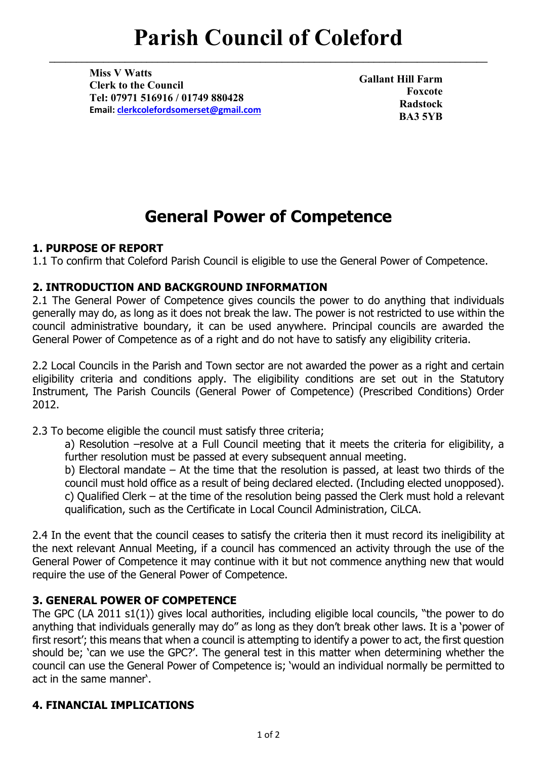# **Parish Council of Coleford**

**\_\_\_\_\_\_\_\_\_\_\_\_\_\_\_\_\_\_\_\_\_\_\_\_\_\_\_\_\_\_\_\_\_\_\_\_\_\_\_\_\_\_\_\_\_\_\_\_\_\_\_\_\_\_\_\_\_\_\_\_\_\_\_\_\_\_\_\_\_\_\_\_\_\_\_\_\_\_\_\_\_**

**Miss V Watts Clerk to the Council Tel: 07971 516916 / 01749 880428 Email: [clerkcolefordsomerset@gmail.com](mailto:clerkcolefordsomerset@gmail.com)**

**Gallant Hill Farm Foxcote Radstock BA3 5YB**

## **General Power of Competence**

#### **1. PURPOSE OF REPORT**

1.1 To confirm that Coleford Parish Council is eligible to use the General Power of Competence.

#### **2. INTRODUCTION AND BACKGROUND INFORMATION**

2.1 The General Power of Competence gives councils the power to do anything that individuals generally may do, as long as it does not break the law. The power is not restricted to use within the council administrative boundary, it can be used anywhere. Principal councils are awarded the General Power of Competence as of a right and do not have to satisfy any eligibility criteria.

2.2 Local Councils in the Parish and Town sector are not awarded the power as a right and certain eligibility criteria and conditions apply. The eligibility conditions are set out in the Statutory Instrument, The Parish Councils (General Power of Competence) (Prescribed Conditions) Order 2012.

2.3 To become eligible the council must satisfy three criteria;

a) Resolution –resolve at a Full Council meeting that it meets the criteria for eligibility, a further resolution must be passed at every subsequent annual meeting.

b) Electoral mandate – At the time that the resolution is passed, at least two thirds of the council must hold office as a result of being declared elected. (Including elected unopposed). c) Qualified Clerk – at the time of the resolution being passed the Clerk must hold a relevant qualification, such as the Certificate in Local Council Administration, CiLCA.

2.4 In the event that the council ceases to satisfy the criteria then it must record its ineligibility at the next relevant Annual Meeting, if a council has commenced an activity through the use of the General Power of Competence it may continue with it but not commence anything new that would require the use of the General Power of Competence.

### **3. GENERAL POWER OF COMPETENCE**

The GPC (LA 2011 s1(1)) gives local authorities, including eligible local councils, "the power to do anything that individuals generally may do" as long as they don't break other laws. It is a 'power of first resort'; this means that when a council is attempting to identify a power to act, the first question should be; 'can we use the GPC?'. The general test in this matter when determining whether the council can use the General Power of Competence is; 'would an individual normally be permitted to act in the same manner'.

### **4. FINANCIAL IMPLICATIONS**